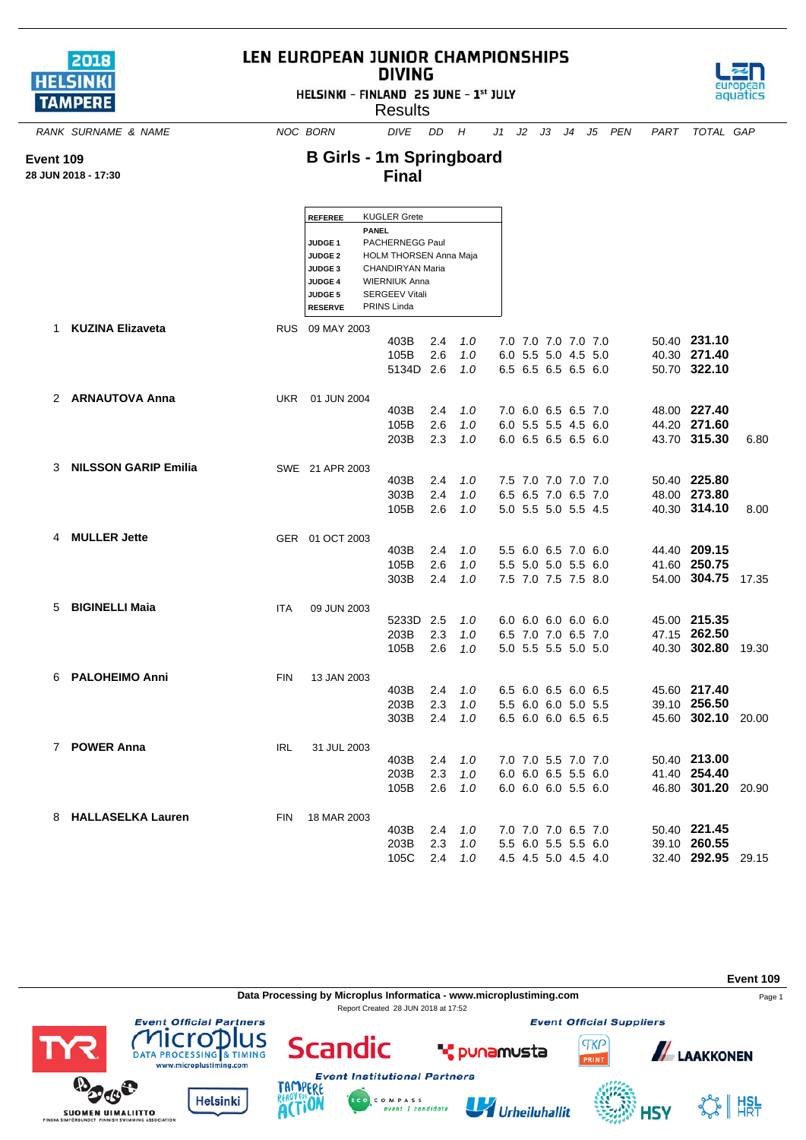| 2018            |  |
|-----------------|--|
| <b>HELSINKI</b> |  |
| <b>TAMPERE</b>  |  |

**Event 109 28 JUN 2018 - 17:30**

## LEN EUROPEAN JUNIOR CHAMPIONSHIPS **DIVING**

HELSINKI - FINLAND 25 JUNE - 1st JULY

**Results** 



*RANK SURNAME & NAME NOC BORN DIVE DD H J1 J2 J3 J4 J5 PEN PART TOTAL GAP*

## **B Girls - 1m Springboard Final**

|   |                             |            | <b>REFEREE</b>                       |              | <b>KUGLER Grete</b>                              |            |            |  |                                            |  |                              |       |
|---|-----------------------------|------------|--------------------------------------|--------------|--------------------------------------------------|------------|------------|--|--------------------------------------------|--|------------------------------|-------|
|   |                             |            |                                      | <b>PANEL</b> |                                                  |            |            |  |                                            |  |                              |       |
|   |                             |            | JUDGE <sub>1</sub><br><b>JUDGE 2</b> |              | PACHERNEGG Paul<br><b>HOLM THORSEN Anna Maja</b> |            |            |  |                                            |  |                              |       |
|   |                             |            | JUDGE 3                              |              | CHANDIRYAN Maria                                 |            |            |  |                                            |  |                              |       |
|   |                             |            | <b>JUDGE 4</b>                       |              | <b>WIERNIUK Anna</b>                             |            |            |  |                                            |  |                              |       |
|   |                             |            | <b>JUDGE 5</b>                       |              | <b>SERGEEV Vitali</b><br><b>PRINS Linda</b>      |            |            |  |                                            |  |                              |       |
|   |                             |            | <b>RESERVE</b>                       |              |                                                  |            |            |  |                                            |  |                              |       |
| 1 | <b>KUZINA Elizaveta</b>     |            | RUS 09 MAY 2003                      |              |                                                  |            |            |  |                                            |  |                              |       |
|   |                             |            |                                      |              | 403B<br>105B                                     | 2.4<br>2.6 | 1.0<br>1.0 |  | 7.0 7.0 7.0 7.0 7.0<br>6.0 5.5 5.0 4.5 5.0 |  | 50.40 231.10<br>40.30 271.40 |       |
|   |                             |            |                                      |              | 5134D                                            | 2.6        | 1.0        |  | 6.5 6.5 6.5 6.5 6.0                        |  | 50.70 322.10                 |       |
|   |                             |            |                                      |              |                                                  |            |            |  |                                            |  |                              |       |
|   | 2 ARNAUTOVA Anna            | UKR        | 01 JUN 2004                          |              |                                                  |            |            |  |                                            |  |                              |       |
|   |                             |            |                                      |              | 403B                                             | 2.4        | 1.0        |  | 7.0 6.0 6.5 6.5 7.0                        |  | 48.00 227.40                 |       |
|   |                             |            |                                      |              | 105B                                             | 2.6        | 1.0        |  | 6.0 5.5 5.5 4.5 6.0                        |  | 44.20 271.60                 |       |
|   |                             |            |                                      |              | 203B                                             | 2.3        | 1.0        |  | 6.0 6.5 6.5 6.5 6.0                        |  | 43.70 315.30                 | 6.80  |
|   |                             |            |                                      |              |                                                  |            |            |  |                                            |  |                              |       |
| 3 | <b>NILSSON GARIP Emilia</b> |            | SWE 21 APR 2003                      |              | 403B                                             | 2.4        | 1.0        |  | 7.5 7.0 7.0 7.0 7.0                        |  | 50.40 225.80                 |       |
|   |                             |            |                                      |              | 303B                                             | 2.4        | 1.0        |  | 6.5 6.5 7.0 6.5 7.0                        |  | 48.00 273.80                 |       |
|   |                             |            |                                      |              | 105B                                             | 2.6        | 1.0        |  | 5.0 5.5 5.0 5.5 4.5                        |  | 40.30 314.10                 | 8.00  |
|   |                             |            |                                      |              |                                                  |            |            |  |                                            |  |                              |       |
| 4 | <b>MULLER Jette</b>         |            | GER 01 OCT 2003                      |              |                                                  |            |            |  |                                            |  |                              |       |
|   |                             |            |                                      |              | 403B                                             | 2.4        | 1.0        |  | 5.5 6.0 6.5 7.0 6.0                        |  | 44.40 209.15                 |       |
|   |                             |            |                                      |              | 105B                                             | 2.6        | 1.0        |  | 5.5 5.0 5.0 5.5 6.0                        |  | 41.60 250.75                 |       |
|   |                             |            |                                      |              | 303B                                             | 2.4        | 1.0        |  | 7.5 7.0 7.5 7.5 8.0                        |  | 54.00 304.75                 | 17.35 |
| 5 | <b>BIGINELLI Maja</b>       | <b>ITA</b> | 09 JUN 2003                          |              |                                                  |            |            |  |                                            |  |                              |       |
|   |                             |            |                                      |              | 5233D                                            | 2.5        | 1.0        |  | 6.0 6.0 6.0 6.0 6.0                        |  | 45.00 215.35                 |       |
|   |                             |            |                                      |              | 203B                                             | 2.3        | 1.0        |  | 6.5 7.0 7.0 6.5 7.0                        |  | 47.15 262.50                 |       |
|   |                             |            |                                      |              | 105B                                             | 2.6        | 1.0        |  | 5.0 5.5 5.5 5.0 5.0                        |  | 40.30 302.80                 | 19.30 |
|   |                             |            |                                      |              |                                                  |            |            |  |                                            |  |                              |       |
| 6 | <b>PALOHEIMO Anni</b>       | <b>FIN</b> | 13 JAN 2003                          |              |                                                  |            |            |  |                                            |  | 45.60 217.40                 |       |
|   |                             |            |                                      |              | 403B<br>203B                                     | 2.4<br>2.3 | 1.0<br>1.0 |  | 6.5 6.0 6.5 6.0 6.5<br>5.5 6.0 6.0 5.0 5.5 |  | 39.10 256.50                 |       |
|   |                             |            |                                      |              | 303B                                             | 2.4        | 1.0        |  | 6.5 6.0 6.0 6.5 6.5                        |  | 45.60 302.10                 | 20.00 |
|   |                             |            |                                      |              |                                                  |            |            |  |                                            |  |                              |       |
|   | 7 POWER Anna                | <b>IRL</b> | 31 JUL 2003                          |              |                                                  |            |            |  |                                            |  |                              |       |
|   |                             |            |                                      |              | 403B                                             | 2.4        | 1.0        |  | 7.0 7.0 5.5 7.0 7.0                        |  | 50.40 213.00                 |       |
|   |                             |            |                                      |              | 203B                                             | 2.3        | 1.0        |  | 6.0 6.0 6.5 5.5 6.0                        |  | 41.40 254.40                 |       |
|   |                             |            |                                      |              | 105B                                             | 2.6        | 1.0        |  | 6.0 6.0 6.0 5.5 6.0                        |  | 46.80 301.20                 | 20.90 |
|   | <b>HALLASELKA Lauren</b>    |            |                                      |              |                                                  |            |            |  |                                            |  |                              |       |
| 8 |                             | <b>FIN</b> | 18 MAR 2003                          |              | 403B                                             | 2.4        | 1.0        |  | 7.0 7.0 7.0 6.5 7.0                        |  | 50.40 221.45                 |       |
|   |                             |            |                                      |              | 203B                                             | 2.3        | 1.0        |  | 5.5 6.0 5.5 5.5 6.0                        |  | 39.10 260.55                 |       |
|   |                             |            |                                      |              | 105C                                             | 2.4        | 1.0        |  | 4.5 4.5 5.0 4.5 4.0                        |  | 32.40 292.95                 | 29.15 |
|   |                             |            |                                      |              |                                                  |            |            |  |                                            |  |                              |       |

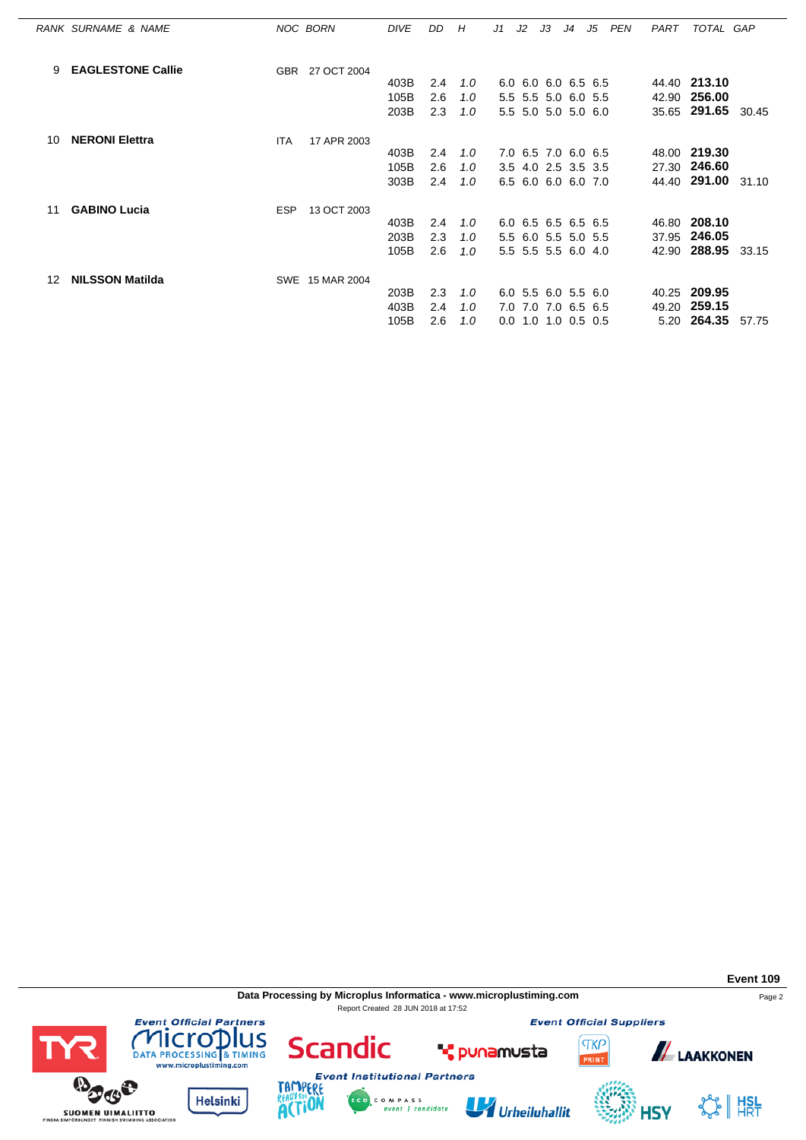|    | RANK SURNAME & NAME      |            | NOC BORN        | <b>DIVE</b> | DD. | H             | J1  | J2 | J3                    | J4 | J5 | PEN | PART | TOTAL GAP          |       |
|----|--------------------------|------------|-----------------|-------------|-----|---------------|-----|----|-----------------------|----|----|-----|------|--------------------|-------|
| 9  | <b>EAGLESTONE Callie</b> | <b>GBR</b> | 27 OCT 2004     |             |     |               |     |    |                       |    |    |     |      |                    |       |
|    |                          |            |                 | 403B        | 2.4 | $1.0^{\circ}$ |     |    | 6.0 6.0 6.0 6.5 6.5   |    |    |     |      | 44.40 213.10       |       |
|    |                          |            |                 | 105B        | 2.6 | 1.0           |     |    | 5.5 5.5 5.0 6.0 5.5   |    |    |     |      | 42.90 256.00       |       |
|    |                          |            |                 | 203B        | 2.3 | 1.0           |     |    | 5.5 5.0 5.0 5.0 6.0   |    |    |     |      | 35.65 291.65       | 30.45 |
| 10 | <b>NERONI Elettra</b>    | <b>ITA</b> | 17 APR 2003     |             |     |               |     |    |                       |    |    |     |      |                    |       |
|    |                          |            |                 | 403B        | 2.4 | 1.0           |     |    | 7.0 6.5 7.0 6.0 6.5   |    |    |     |      | 48.00 219.30       |       |
|    |                          |            |                 | 105B        | 2.6 | 1.0           |     |    | 3.5 4.0 2.5 3.5 3.5   |    |    |     |      | 27.30 246.60       |       |
|    |                          |            |                 | 303B        | 2.4 | 1.0           |     |    | 6.5 6.0 6.0 6.0 7.0   |    |    |     |      | 44.40 291.00 31.10 |       |
| 11 | <b>GABINO Lucia</b>      | <b>ESP</b> | 13 OCT 2003     |             |     |               |     |    |                       |    |    |     |      |                    |       |
|    |                          |            |                 | 403B        | 2.4 | 1.0           |     |    | 6.0 6.5 6.5 6.5 6.5   |    |    |     |      | 46.80 208.10       |       |
|    |                          |            |                 | 203B        | 2.3 | 1.0           |     |    | 5.5 6.0 5.5 5.0 5.5   |    |    |     |      | 37.95 246.05       |       |
|    |                          |            |                 | 105B        | 2.6 | 1.0           |     |    | 5.5 5.5 5.5 6.0 4.0   |    |    |     |      | 42.90 288.95       | 33.15 |
| 12 | <b>NILSSON Matilda</b>   |            | SWE 15 MAR 2004 |             |     |               |     |    |                       |    |    |     |      |                    |       |
|    |                          |            |                 | 203B        | 2.3 | 1.0           |     |    | 6.0 5.5 6.0 5.5 6.0   |    |    |     |      | 40.25 209.95       |       |
|    |                          |            |                 | 403B        | 2.4 | 1.0           | 7.0 |    | 7.0 7.0 6.5 6.5       |    |    |     |      | 49.20 259.15       |       |
|    |                          |            |                 | 105B        | 2.6 | 1.0           |     |    | $0.0$ 1.0 1.0 0.5 0.5 |    |    |     |      | 5.20 264.35        | 57.75 |

**Data Processing by Microplus Informatica - www.microplustiming.com** Page 2 Report Created 28 JUN 2018 at 17:52

C O M P A S S<br>event | candidate

**Event 109**



TAMPERE

**ACTION** 

**Helsinki** 

**BOOS** 

**SUOMEN UIMALIITTO** 



Urheiluhallit

**Event Official Suppliers** 



**HSY** 

SS HISL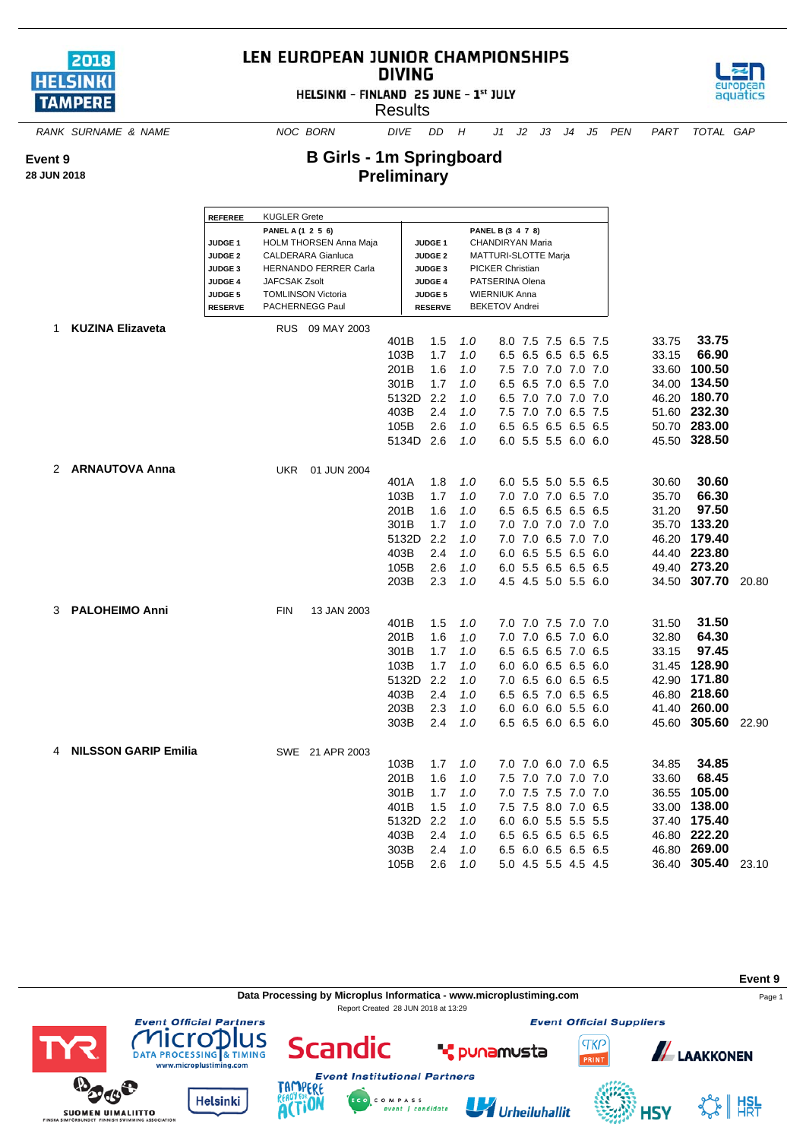

## LEN EUROPEAN JUNIOR CHAMPIONSHIPS **DIVING**





**B Girls - 1m Springboard Preliminary**



*RANK SURNAME & NAME NOC BORN DIVE DD H J1 J2 J3 J4 J5 PEN PART TOTAL GAP*

**Event 9**

**28 JUN 2018**

## **REFEREE** KUGLER Grete **PANEL A (1 2 5 6) PANEL B (3 4 7 8) JUDGE 1** HOLM THORSEN Anna Maja **JUDGE 1** CHANDIRYAN Maria **JUDGE 2** CALDERARA Gianluca **JUDGE 2** MATTURI-SLOTTE Marja **JUDGE 3** HERNANDO FERRER Carla **JUDGE 3** PICKER Christian **JUDGE 4** JAFCSAK Zsolt **JUDGE 4** PATSERINA Olena **JUDGE 5** TOMLINSON Victoria **JUDGE 5** WIERNIUK Anna **RESERVE** PACHERNEGG Paul **RESERVE** BEKETOV Andrei 1 **KUZINA Elizaveta** RUS 09 MAY 2003 401B 1.5 *1.0* 8.0 7.5 7.5 6.5 7.5 33.75 **33.75** 103B 1.7 *1.0* 6.5 6.5 6.5 6.5 6.5 33.15 **66.90** 201B 1.6 *1.0* 7.5 7.0 7.0 7.0 7.0 33.60 **100.50** 301B 1.7 1.0 6.5 6.5 7.0 6.5 7.0 5132D 2.2 *1.0* 6.5 7.0 7.0 7.0 7.0 46.20 **180.70** 403B 2.4 *1.0* 7.5 7.0 7.0 6.5 7.5 51.60 **232.30** 105B 2.6 *1.0* 6.5 6.5 6.5 6.5 6.5 50.70 **283.00** 5134D 2.6 *1.0* 6.0 5.5 5.5 6.0 6.0 45.50 **328.50** 2 **ARNAUTOVA Anna** UKR 01 JUN 2004 401A 1.8 *1.0* 6.0 5.5 5.0 5.5 6.5 30.60 **30.60** 103B 1.7 *1.0* 7.0 7.0 7.0 6.5 7.0 35.70 **66.30** 201B 1.6 *1.0* 6.5 6.5 6.5 6.5 6.5 31.20 **97.50** 301B 1.7 *1.0* 7.0 7.0 7.0 7.0 7.0 35.70 **133.20** 5132D 2.2 *1.0* 7.0 7.0 6.5 7.0 7.0 46.20 **179.40** 403B 2.4 *1.0* 6.0 6.5 5.5 6.5 6.0 44.40 **223.80** 105B 2.6 *1.0* 6.0 5.5 6.5 6.5 6.5 49.40 **273.20** 203B 2.3 *1.0* 4.5 4.5 5.0 5.5 6.0 34.50 **307.70** 20.80 3 **PALOHEIMO Anni** FIN 13 JAN 2003 401B 1.5 *1.0* 7.0 7.0 7.5 7.0 7.0 31.50 **31.50** 201B 1.6 *1.0* 7.0 7.0 6.5 7.0 6.0 32.80 **64.30** 301B 1.7 *1.0* 6.5 6.5 6.5 7.0 6.5 33.15 **97.45** 103B 1.7 *1.0* 6.0 6.0 6.5 6.5 6.0 31.45 **128.90** 5132D 2.2 *1.0* 7.0 6.5 6.0 6.5 6.5 42.90 **171.80** 403B 2.4 *1.0* 6.5 6.5 7.0 6.5 6.5 46.80 **218.60** 203B 2.3 *1.0* 6.0 6.0 6.0 5.5 6.0 41.40 **260.00** 303B 2.4 *1.0* 6.5 6.5 6.0 6.5 6.0 45.60 **305.60** 22.90 4 **NILSSON GARIP Emilia** SWE 21 APR 2003 103B 1.7 *1.0* 7.0 7.0 6.0 7.0 6.5 34.85 **34.85** 201B 1.6 *1.0* 7.5 7.0 7.0 7.0 7.0 33.60 **68.45** 301B 1.7 *1.0* 7.0 7.5 7.5 7.0 7.0 36.55 **105.00** 401B 1.5 *1.0* 7.5 7.5 8.0 7.0 6.5 33.00 **138.00** 5132D 2.2 *1.0* 6.0 6.0 5.5 5.5 5.5 37.40 **175.40** 403B 2.4 *1.0* 6.5 6.5 6.5 6.5 6.5 46.80 **222.20** 303B 2.4 *1.0* 6.5 6.0 6.5 6.5 6.5 46.80 **269.00** 105B 2.6 *1.0* 5.0 4.5 5.5 4.5 4.5 36.40 **305.40** 23.10



OCIATION



**LAAKKONEN**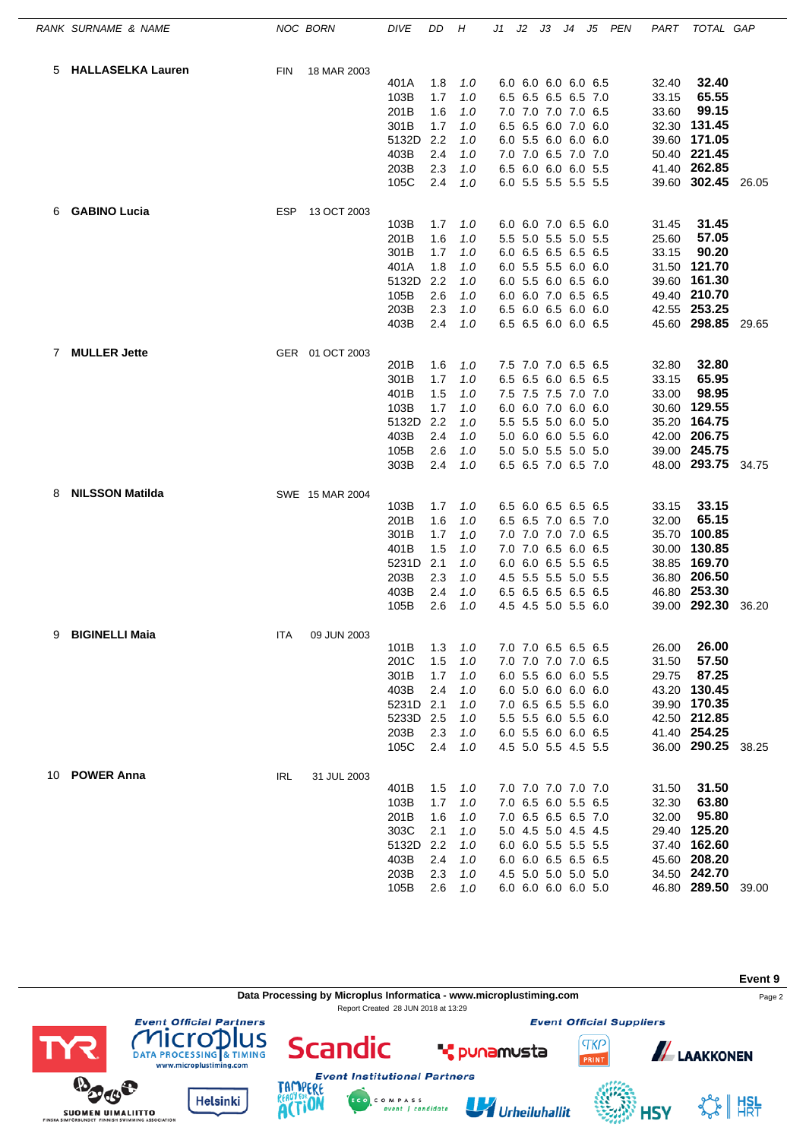|              | RANK SURNAME & NAME    |            | NOC BORN        | <b>DIVE</b> | DD  | Η     | J1 | J2 | JЗ                  | J4 | J5 | PEN | PART  | TOTAL GAP          |       |
|--------------|------------------------|------------|-----------------|-------------|-----|-------|----|----|---------------------|----|----|-----|-------|--------------------|-------|
|              | 5 HALLASELKA Lauren    | <b>FIN</b> | 18 MAR 2003     |             |     |       |    |    |                     |    |    |     |       |                    |       |
|              |                        |            |                 | 401A        | 1.8 | 1.0   |    |    | 6.0 6.0 6.0 6.0 6.5 |    |    |     | 32.40 | 32.40              |       |
|              |                        |            |                 | 103B        | 1.7 | 1.0   |    |    | 6.5 6.5 6.5 6.5 7.0 |    |    |     | 33.15 | 65.55              |       |
|              |                        |            |                 | 201B        | 1.6 | 1.0   |    |    | 7.0 7.0 7.0 7.0 6.5 |    |    |     | 33.60 | 99.15              |       |
|              |                        |            |                 | 301B        | 1.7 | 1.0   |    |    | 6.5 6.5 6.0 7.0 6.0 |    |    |     | 32.30 | 131.45             |       |
|              |                        |            |                 | 5132D       | 2.2 | 1.0   |    |    | 6.0 5.5 6.0 6.0 6.0 |    |    |     |       | 39.60 171.05       |       |
|              |                        |            |                 | 403B        | 2.4 | 1.0   |    |    | 7.0 7.0 6.5 7.0 7.0 |    |    |     |       | 50.40 221.45       |       |
|              |                        |            |                 | 203B        | 2.3 | 1.0   |    |    | 6.5 6.0 6.0 6.0 5.5 |    |    |     |       | 41.40 262.85       |       |
|              |                        |            |                 | 105C        | 2.4 | 1.0   |    |    | 6.0 5.5 5.5 5.5 5.5 |    |    |     |       | 39.60 302.45 26.05 |       |
| 6            | <b>GABINO Lucia</b>    | ESP        | 13 OCT 2003     |             |     |       |    |    |                     |    |    |     |       |                    |       |
|              |                        |            |                 | 103B        | 1.7 | 1.0   |    |    | 6.0 6.0 7.0 6.5 6.0 |    |    |     | 31.45 | 31.45              |       |
|              |                        |            |                 | 201B        | 1.6 | 1.0   |    |    | 5.5 5.0 5.5 5.0 5.5 |    |    |     | 25.60 | 57.05              |       |
|              |                        |            |                 | 301B        | 1.7 | 1.0   |    |    | 6.0 6.5 6.5 6.5 6.5 |    |    |     | 33.15 | 90.20              |       |
|              |                        |            |                 | 401A        | 1.8 | 1.0   |    |    | 6.0 5.5 5.5 6.0 6.0 |    |    |     | 31.50 | 121.70             |       |
|              |                        |            |                 | 5132D       | 2.2 | 1.0   |    |    | 6.0 5.5 6.0 6.5 6.0 |    |    |     |       | 39.60 161.30       |       |
|              |                        |            |                 | 105B        | 2.6 | 1.0   |    |    | 6.0 6.0 7.0 6.5 6.5 |    |    |     |       | 49.40 210.70       |       |
|              |                        |            |                 | 203B        | 2.3 | 1.0   |    |    | 6.5 6.0 6.5 6.0 6.0 |    |    |     |       | 42.55 253.25       |       |
|              |                        |            |                 | 403B        | 2.4 | 1.0   |    |    | 6.5 6.5 6.0 6.0 6.5 |    |    |     |       | 45.60 298.85 29.65 |       |
| $\mathbf{7}$ | <b>MULLER Jette</b>    |            | GER 01 OCT 2003 |             |     |       |    |    |                     |    |    |     |       |                    |       |
|              |                        |            |                 | 201B        | 1.6 | 1.0   |    |    | 7.5 7.0 7.0 6.5 6.5 |    |    |     | 32.80 | 32.80              |       |
|              |                        |            |                 | 301B        | 1.7 | 1.0   |    |    | 6.5 6.5 6.0 6.5 6.5 |    |    |     | 33.15 | 65.95              |       |
|              |                        |            |                 | 401B        | 1.5 | 1.0   |    |    | 7.5 7.5 7.5 7.0 7.0 |    |    |     | 33.00 | 98.95              |       |
|              |                        |            |                 | 103B        | 1.7 | 1.0   |    |    | 6.0 6.0 7.0 6.0 6.0 |    |    |     | 30.60 | 129.55             |       |
|              |                        |            |                 | 5132D       | 2.2 | 1.0   |    |    | 5.5 5.5 5.0 6.0 5.0 |    |    |     | 35.20 | 164.75             |       |
|              |                        |            |                 | 403B        | 2.4 | 1.0   |    |    | 5.0 6.0 6.0 5.5 6.0 |    |    |     |       | 42.00 206.75       |       |
|              |                        |            |                 | 105B        | 2.6 | 1.0   |    |    | 5.0 5.0 5.5 5.0 5.0 |    |    |     |       | 39.00 245.75       |       |
|              |                        |            |                 | 303B        | 2.4 | 1.0   |    |    | 6.5 6.5 7.0 6.5 7.0 |    |    |     |       | 48.00 293.75 34.75 |       |
| 8            | <b>NILSSON Matilda</b> |            | SWE 15 MAR 2004 | 103B        | 1.7 | 1.0   |    |    | 6.5 6.0 6.5 6.5 6.5 |    |    |     | 33.15 | 33.15              |       |
|              |                        |            |                 |             |     |       |    |    |                     |    |    |     |       | 65.15              |       |
|              |                        |            |                 | 201B        | 1.6 | 1.0   |    |    | 6.5 6.5 7.0 6.5 7.0 |    |    |     | 32.00 | 100.85             |       |
|              |                        |            |                 | 301B        | 1.7 | 1.0   |    |    | 7.0 7.0 7.0 7.0 6.5 |    |    |     | 35.70 | 130.85             |       |
|              |                        |            |                 | 401B        | 1.5 | 1.0   |    |    | 7.0 7.0 6.5 6.0 6.5 |    |    |     | 30.00 |                    |       |
|              |                        |            |                 | 5231D       | 2.1 | $1.0$ |    |    | 6.0 6.0 6.5 5.5 6.5 |    |    |     |       | 38.85 169.70       |       |
|              |                        |            |                 | 203B        | 2.3 | 1.0   |    |    | 4.5 5.5 5.5 5.0 5.5 |    |    |     |       | 36.80 206.50       |       |
|              |                        |            |                 | 403B        | 2.4 | 1.0   |    |    | 6.5 6.5 6.5 6.5 6.5 |    |    |     |       | 46.80 253.30       |       |
|              |                        |            |                 | 105B        | 2.6 | 1.0   |    |    | 4.5 4.5 5.0 5.5 6.0 |    |    |     |       | 39.00 292.30       | 36.20 |
| 9            | <b>BIGINELLI Maia</b>  | ITA        | 09 JUN 2003     | 101B        | 1.3 | 1.0   |    |    | 7.0 7.0 6.5 6.5 6.5 |    |    |     | 26.00 | 26.00              |       |
|              |                        |            |                 | 201C        | 1.5 | 1.0   |    |    | 7.0 7.0 7.0 7.0 6.5 |    |    |     | 31.50 | 57.50              |       |
|              |                        |            |                 | 301B        | 1.7 | 1.0   |    |    | 6.0 5.5 6.0 6.0 5.5 |    |    |     | 29.75 | 87.25              |       |
|              |                        |            |                 | 403B        | 2.4 | 1.0   |    |    | 6.0 5.0 6.0 6.0 6.0 |    |    |     |       | 43.20 130.45       |       |
|              |                        |            |                 | 5231D       | 2.1 | 1.0   |    |    | 7.0 6.5 6.5 5.5 6.0 |    |    |     |       | 39.90 170.35       |       |
|              |                        |            |                 | 5233D       | 2.5 | 1.0   |    |    | 5.5 5.5 6.0 5.5 6.0 |    |    |     |       | 42.50 212.85       |       |
|              |                        |            |                 | 203B        | 2.3 | 1.0   |    |    | 6.0 5.5 6.0 6.0 6.5 |    |    |     |       | 41.40 254.25       |       |
|              |                        |            |                 | 105C        | 2.4 | 1.0   |    |    | 4.5 5.0 5.5 4.5 5.5 |    |    |     |       | 36.00 290.25 38.25 |       |
|              | 10 POWER Anna          | <b>IRL</b> | 31 JUL 2003     |             |     |       |    |    |                     |    |    |     |       |                    |       |
|              |                        |            |                 | 401B        | 1.5 | 1.0   |    |    | 7.0 7.0 7.0 7.0 7.0 |    |    |     | 31.50 | 31.50              |       |
|              |                        |            |                 | 103B        | 1.7 | 1.0   |    |    | 7.0 6.5 6.0 5.5 6.5 |    |    |     | 32.30 | 63.80              |       |
|              |                        |            |                 | 201B        | 1.6 | 1.0   |    |    | 7.0 6.5 6.5 6.5 7.0 |    |    |     | 32.00 | 95.80              |       |
|              |                        |            |                 | 303C        | 2.1 | 1.0   |    |    | 5.0 4.5 5.0 4.5 4.5 |    |    |     |       | 29.40 125.20       |       |
|              |                        |            |                 | 5132D       | 2.2 | 1.0   |    |    | 6.0 6.0 5.5 5.5 5.5 |    |    |     |       | 37.40 162.60       |       |
|              |                        |            |                 | 403B        | 2.4 | 1.0   |    |    | 6.0 6.0 6.5 6.5 6.5 |    |    |     |       | 45.60 208.20       |       |
|              |                        |            |                 | 203B        | 2.3 | 1.0   |    |    | 4.5 5.0 5.0 5.0 5.0 |    |    |     |       | 34.50 242.70       |       |
|              |                        |            |                 | 105B        | 2.6 | 1.0   |    |    | 6.0 6.0 6.0 6.0 5.0 |    |    |     |       | 46.80 289.50 39.00 |       |
|              |                        |            |                 |             |     |       |    |    |                     |    |    |     |       |                    |       |



C O M P A S S<br>event | candidate

Urheiluhallit

**Helsinki** 

SUOMEN UIMALIITTO

**ACTION** 

☆ | #SL

**HSY**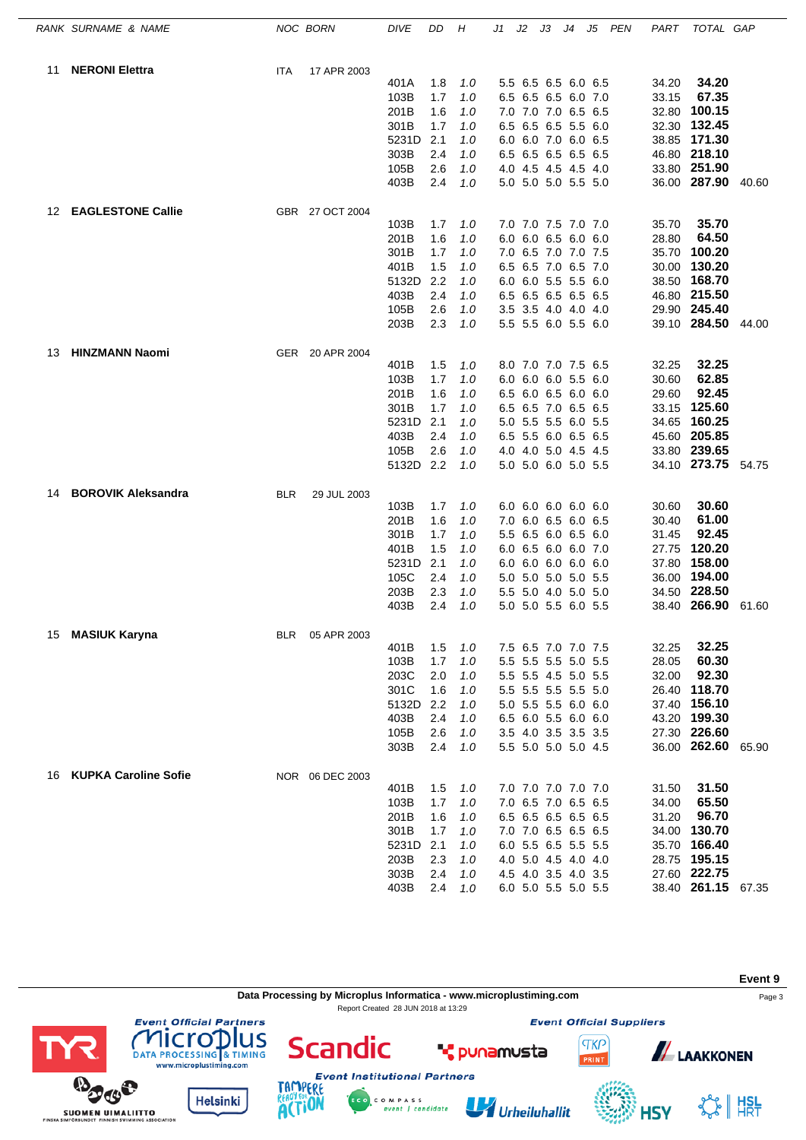|    | RANK SURNAME & NAME         |            | NOC BORN        | <b>DIVE</b> | DD  | H   | J1 | J2 | JЗ | J4 J5               | PEN | PART  | TOTAL GAP          |       |
|----|-----------------------------|------------|-----------------|-------------|-----|-----|----|----|----|---------------------|-----|-------|--------------------|-------|
| 11 | <b>NERONI Elettra</b>       | ITA        | 17 APR 2003     |             |     |     |    |    |    |                     |     |       |                    |       |
|    |                             |            |                 | 401A        | 1.8 | 1.0 |    |    |    | 5.5 6.5 6.5 6.0 6.5 |     | 34.20 | 34.20              |       |
|    |                             |            |                 | 103B        | 1.7 | 1.0 |    |    |    | 6.5 6.5 6.5 6.0 7.0 |     | 33.15 | 67.35              |       |
|    |                             |            |                 | 201B        | 1.6 | 1.0 |    |    |    | 7.0 7.0 7.0 6.5 6.5 |     |       | 32.80 100.15       |       |
|    |                             |            |                 | 301B        | 1.7 | 1.0 |    |    |    | 6.5 6.5 6.5 5.5 6.0 |     |       | 32.30 132.45       |       |
|    |                             |            |                 | 5231D       | 2.1 | 1.0 |    |    |    | 6.0 6.0 7.0 6.0 6.5 |     |       | 38.85 171.30       |       |
|    |                             |            |                 | 303B        | 2.4 | 1.0 |    |    |    | 6.5 6.5 6.5 6.5 6.5 |     |       | 46.80 218.10       |       |
|    |                             |            |                 | 105B        | 2.6 | 1.0 |    |    |    | 4.0 4.5 4.5 4.5 4.0 |     |       | 33.80 251.90       |       |
|    |                             |            |                 | 403B        | 2.4 | 1.0 |    |    |    | 5.0 5.0 5.0 5.5 5.0 |     |       | 36.00 287.90 40.60 |       |
| 12 | <b>EAGLESTONE Callie</b>    |            | GBR 27 OCT 2004 |             |     |     |    |    |    |                     |     |       |                    |       |
|    |                             |            |                 | 103B        | 1.7 | 1.0 |    |    |    | 7.0 7.0 7.5 7.0 7.0 |     | 35.70 | 35.70              |       |
|    |                             |            |                 | 201B        | 1.6 | 1.0 |    |    |    | 6.0 6.0 6.5 6.0 6.0 |     | 28.80 | 64.50              |       |
|    |                             |            |                 | 301B        | 1.7 | 1.0 |    |    |    | 7.0 6.5 7.0 7.0 7.5 |     | 35.70 | 100.20             |       |
|    |                             |            |                 | 401B        | 1.5 | 1.0 |    |    |    | 6.5 6.5 7.0 6.5 7.0 |     |       | 30.00 130.20       |       |
|    |                             |            |                 | 5132D       | 2.2 | 1.0 |    |    |    | 6.0 6.0 5.5 5.5 6.0 |     |       | 38.50 168.70       |       |
|    |                             |            |                 | 403B        | 2.4 | 1.0 |    |    |    | 6.5 6.5 6.5 6.5 6.5 |     |       | 46.80 215.50       |       |
|    |                             |            |                 | 105B        | 2.6 | 1.0 |    |    |    | 3.5 3.5 4.0 4.0 4.0 |     |       | 29.90 245.40       |       |
|    |                             |            |                 | 203B        | 2.3 | 1.0 |    |    |    | 5.5 5.5 6.0 5.5 6.0 |     |       | 39.10 284.50       | 44.00 |
| 13 | <b>HINZMANN Naomi</b>       |            | GER 20 APR 2004 |             |     |     |    |    |    |                     |     |       |                    |       |
|    |                             |            |                 | 401B        | 1.5 | 1.0 |    |    |    | 8.0 7.0 7.0 7.5 6.5 |     | 32.25 | 32.25              |       |
|    |                             |            |                 | 103B        | 1.7 | 1.0 |    |    |    | 6.0 6.0 6.0 5.5 6.0 |     | 30.60 | 62.85              |       |
|    |                             |            |                 | 201B        | 1.6 | 1.0 |    |    |    | 6.5 6.0 6.5 6.0 6.0 |     | 29.60 | 92.45              |       |
|    |                             |            |                 | 301B        | 1.7 | 1.0 |    |    |    | 6.5 6.5 7.0 6.5 6.5 |     |       | 33.15 125.60       |       |
|    |                             |            |                 | 5231D       | 2.1 | 1.0 |    |    |    | 5.0 5.5 5.5 6.0 5.5 |     |       | 34.65 160.25       |       |
|    |                             |            |                 | 403B        | 2.4 | 1.0 |    |    |    | 6.5 5.5 6.0 6.5 6.5 |     |       | 45.60 205.85       |       |
|    |                             |            |                 | 105B        | 2.6 | 1.0 |    |    |    | 4.0 4.0 5.0 4.5 4.5 |     |       | 33.80 239.65       |       |
|    |                             |            |                 | 5132D 2.2   |     | 1.0 |    |    |    | 5.0 5.0 6.0 5.0 5.5 |     |       | 34.10 273.75 54.75 |       |
| 14 | <b>BOROVIK Aleksandra</b>   | <b>BLR</b> | 29 JUL 2003     |             |     |     |    |    |    |                     |     |       |                    |       |
|    |                             |            |                 | 103B        | 1.7 | 1.0 |    |    |    | 6.0 6.0 6.0 6.0 6.0 |     | 30.60 | 30.60              |       |
|    |                             |            |                 | 201B        | 1.6 | 1.0 |    |    |    | 7.0 6.0 6.5 6.0 6.5 |     | 30.40 | 61.00              |       |
|    |                             |            |                 | 301B        | 1.7 | 1.0 |    |    |    | 5.5 6.5 6.0 6.5 6.0 |     | 31.45 | 92.45              |       |
|    |                             |            |                 | 401B        | 1.5 | 1.0 |    |    |    | 6.0 6.5 6.0 6.0 7.0 |     |       | 27.75 120.20       |       |
|    |                             |            |                 | 5231D       | 2.1 | 1.0 |    |    |    | 6.0 6.0 6.0 6.0 6.0 |     |       | 37.80 158.00       |       |
|    |                             |            |                 | 105C        | 2.4 | 1.0 |    |    |    | 5.0 5.0 5.0 5.0 5.5 |     |       | 36.00 194.00       |       |
|    |                             |            |                 | 203B        | 2.3 | 1.0 |    |    |    | 5.5 5.0 4.0 5.0 5.0 |     |       | 34.50 228.50       |       |
|    |                             |            |                 | 403B        | 2.4 | 1.0 |    |    |    | 5.0 5.0 5.5 6.0 5.5 |     |       | 38.40 266.90       | 61.60 |
| 15 | <b>MASIUK Karyna</b>        | <b>BLR</b> | 05 APR 2003     |             |     |     |    |    |    |                     |     |       |                    |       |
|    |                             |            |                 | 401B        | 1.5 | 1.0 |    |    |    | 7.5 6.5 7.0 7.0 7.5 |     | 32.25 | 32.25              |       |
|    |                             |            |                 | 103B        | 1.7 | 1.0 |    |    |    | 5.5 5.5 5.5 5.0 5.5 |     | 28.05 | 60.30              |       |
|    |                             |            |                 | 203C        | 2.0 | 1.0 |    |    |    | 5.5 5.5 4.5 5.0 5.5 |     | 32.00 | 92.30              |       |
|    |                             |            |                 | 301C        | 1.6 | 1.0 |    |    |    | 5.5 5.5 5.5 5.5 5.0 |     |       | 26.40 118.70       |       |
|    |                             |            |                 | 5132D       | 2.2 | 1.0 |    |    |    | 5.0 5.5 5.5 6.0 6.0 |     |       | 37.40 156.10       |       |
|    |                             |            |                 | 403B        | 2.4 | 1.0 |    |    |    | 6.5 6.0 5.5 6.0 6.0 |     |       | 43.20 199.30       |       |
|    |                             |            |                 | 105B        | 2.6 | 1.0 |    |    |    | 3.5 4.0 3.5 3.5 3.5 |     |       | 27.30 226.60       |       |
|    |                             |            |                 | 303B        | 2.4 | 1.0 |    |    |    | 5.5 5.0 5.0 5.0 4.5 |     |       | 36.00 262.60 65.90 |       |
| 16 | <b>KUPKA Caroline Sofie</b> |            | NOR 06 DEC 2003 |             |     |     |    |    |    |                     |     |       |                    |       |
|    |                             |            |                 | 401B        | 1.5 | 1.0 |    |    |    | 7.0 7.0 7.0 7.0 7.0 |     | 31.50 | 31.50              |       |
|    |                             |            |                 | 103B        | 1.7 | 1.0 |    |    |    | 7.0 6.5 7.0 6.5 6.5 |     | 34.00 | 65.50              |       |
|    |                             |            |                 | 201B        | 1.6 | 1.0 |    |    |    | 6.5 6.5 6.5 6.5 6.5 |     | 31.20 | 96.70              |       |
|    |                             |            |                 | 301B        | 1.7 | 1.0 |    |    |    | 7.0 7.0 6.5 6.5 6.5 |     |       | 34.00 130.70       |       |
|    |                             |            |                 | 5231D       | 2.1 | 1.0 |    |    |    | 6.0 5.5 6.5 5.5 5.5 |     |       | 35.70 166.40       |       |
|    |                             |            |                 |             | 2.3 |     |    |    |    |                     |     |       | 28.75 195.15       |       |
|    |                             |            |                 | 203B        |     | 1.0 |    |    |    | 4.0 5.0 4.5 4.0 4.0 |     |       | 27.60 222.75       |       |
|    |                             |            |                 | 303B        | 2.4 | 1.0 |    |    |    | 4.5 4.0 3.5 4.0 3.5 |     |       |                    |       |
|    |                             |            |                 | 403B        | 2.4 | 1.0 |    |    |    | 6.0 5.0 5.5 5.0 5.5 |     |       | 38.40 261.15 67.35 |       |



C O M P A S S<br>event | candidate

**ACTION** 

SUOMEN UIMALIITTO

Urheiluhallit

**HSY**